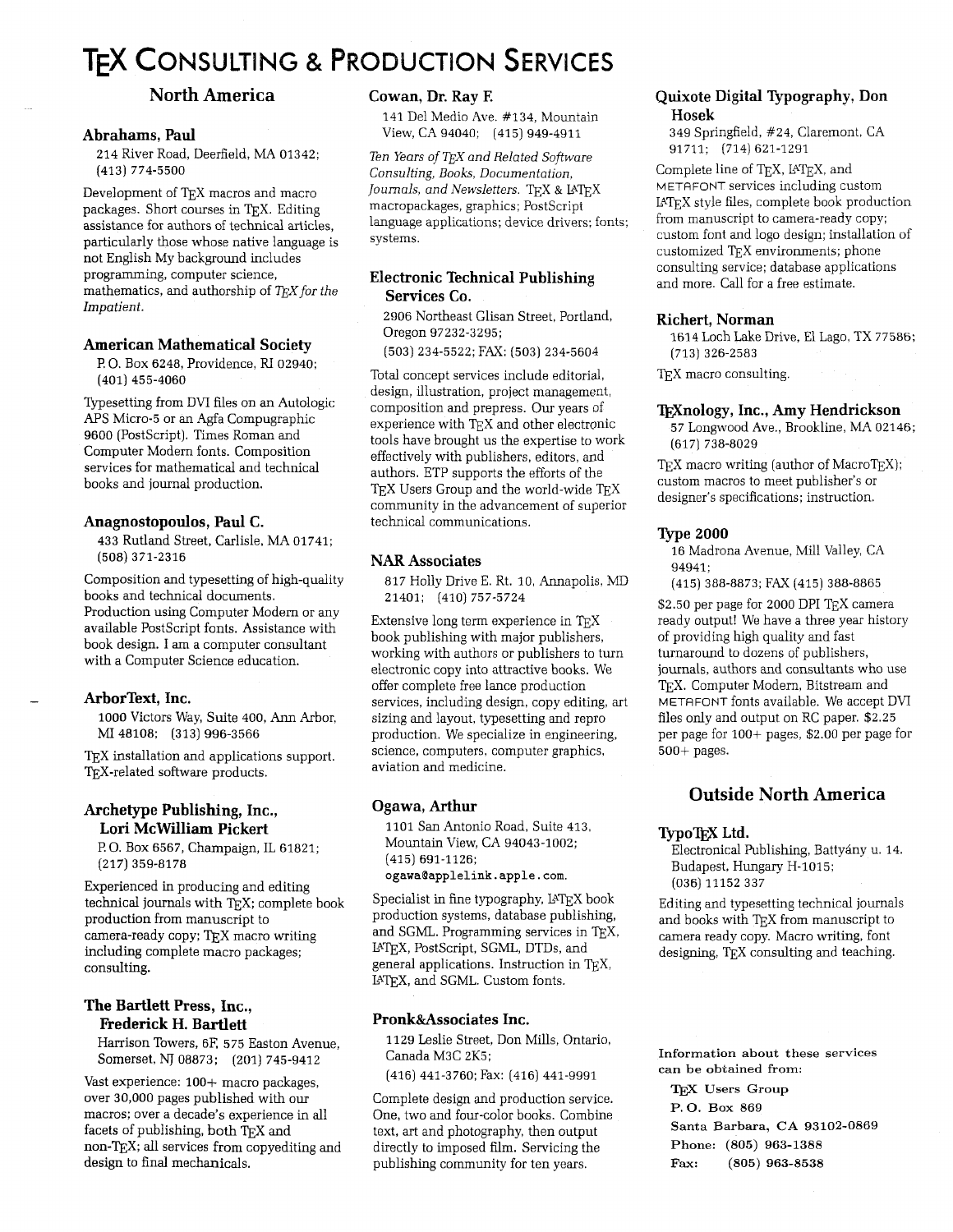# **TEX CONSULTING & PRODUCTION SERVICES**

# **North America**

### **Abrahams, Paul**

214 River Road, Deerfield, MA 01342; (413) 774-5500

Development of T<sub>F</sub>X macros and macro packages. Short courses in TFX. Editing assistance for authors of technical articles, particularly those whose native language is not English My background includes programming, computer science, mathematics, and authorship of  $T_F X$  for the Impatient.

## **American Mathematical Society**

**F!** 0. Box 6248, Providence, RI 02940; (401) 455-4060

Typesetting from DVI files on an Autologic APS Micro-5 or an Agfa Compugraphic 9600 (PostScript). Times Roman and Computer Modern fonts. Composition services for mathematical and technical books and journal production.

## **Anagnostopoulos, Paul C.**

433 Rutland Street, Carlisle, MA 01741; (508) 371-2316

Composition and typesetting of high-quality books and technical documents. Production using Computer Modern or any available PostScript fonts. Assistance with book design. I am a computer consultant with a Computer Science education.

#### - **ArborText, Inc.**

1000 Victors Way, Suite 400, Ann Arbor, MI 48108; (313) 996-3566

T<sub>E</sub>X installation and applications support. TEX-related software products.

# **Archetype Publishing, Inc., Lori McWilliam Pickert**

**F!** 0. Box 6567, Champaign, IL 61821; (217) 359-8178

Experienced in producing and editing technical journals with TEX; complete book production from manuscript to camera-ready copy; TFX macro writing including complete macro packages; consulting.

# **The Bartlett Press, Inc., Frederick H. Bartlett**

Harrison Towers, 6E 575 Easton Avenue, Somerset, NJ 08873; (201) 745-9412

Vast experience: 100+ macro packages, over 30,000 pages published with our macros; over a decade's experience in all facets of publishing, both TEX and non-TEX; all services from copyediting and design to final mechanicals.

# **Cowan, Dr. Ray E**

141 Del Medio Ave. #134, Mountain View, CA 94040; (415) 949-4911

Ten Years of TFX and Related Software Consulting, Books, Documentation, Journals, and Newsletters. TEX & IATEX macropackages, graphics; PostScript language applications; device drivers; fonts: systems.

# **Electronic Technical Publishing Services Co.**

2906 Northeast Glisan Street, Portland, Oregon 97232-3295;

(503) 234-5522; FAX: (503) 234-5604

Total concept services include editorial, design, illustration, project management, composition and prepress. Our years of experience with  $T_{F}X$  and other electronic tools have brought us the expertise to work effectively with publishers, editors, and authors. ETP supports the efforts of the TEX Users Group and the world-wide TEX community in the advancement of superior technical communications.

# **NAR Associates**

817 Holly Drive E. Rt. 10, Annapolis, MD 21401; (410) 757-5724

Extensive long term experience in TFX book publishing with major publishers, working with authors or publishers to turn electronic copy into attractive books. We offer complete free lance production services, including design, copy editing, art sizing and layout, typesetting and repro production. We specialize in engineering, science, computers, computer graphics, aviation and medicine.

# **Ogawa, Arthur**

1101 San Antonio Road, Suite 413. Mountain View, CA 94043-1002; (415) 691-1126; **ogawaQapplelink.apple.com.** 

Specialist in fine typography, IATEX book production systems, database publishing, and SGML. Programming services in TEX, IPTEX, PostScript, SGML, DTDs, and general applications. Instruction in TEX, IATEX, and SGML. Custom fonts.

#### **Pronk&Associates Inc.**

1129 Leslie Street, Don Mills, Ontario, Canada M3C 2K5;

(416) 441-3760; Fax: (416) 441-9991

Complete design and production service. One, two and four-color books. Combine text, art and photography, then output directly to imposed film. Servicing the publishing community for ten years.

# **Quixote Digital Typography, Don Hosek**

349 Springfield, #24, Claremont, CA 91711; (714) 621-1291

Complete line of TEX, IATEX, and METAFONT services including custom PTEX style files, complete book production from manuscript to camera-ready copy; custom font and logo design; installation of customized TEX environments; phone consulting service; database applications and more. Call for a free estimate.

#### **Richert, Norman**

1614 Loch Lake Drive, El Lago, TX 77586; (713) 326-2583

T<sub>E</sub>X macro consulting.

## **lj\$nology, Inc., Amy Hendrickson**

57 Longwood Ave., Brookline, MA 02146; (617) 738-8029

 $TeX$  macro writing (author of Macro $TeX$ ); custom macros to meet publisher's or designer's specifications; instruction.

#### **Type 2000**

16 Madrona Avenue, Mill Valley, CA 94941;

(415) 388-8873; FAX (415) 388-8865

\$2.50 per page for 2000 DPI T<sub>E</sub>X camera ready output! We have a three year history of providing high quality and fast turnaround to dozens of publishers, journals, authors and consultants who use TEX. Computer Modern, Bitstream and METAFONT fonts available. We accept DVI files only and output on RC paper. \$2.25 per page for 100+ pages, \$2.00 per page for 500+ pages.

# **Outside North America**

## **TypoTFX** Ltd.

Electronical Publishing, Battyany u. 14. Budapest, Hungary H-1015; (036) 11152 337

Editing and typesetting technical journals and books with TFX from manuscript to camera ready copy. Macro writing, font designing, TEX consulting and teaching.

**Information about these services can be obtained from:** 

TEX Users Group **P. 0. Box** <sup>869</sup> **Santa Barbara, CA** 93102-0869 **Phone:** (805) 963-1388 **Fax:** (805) 963-8538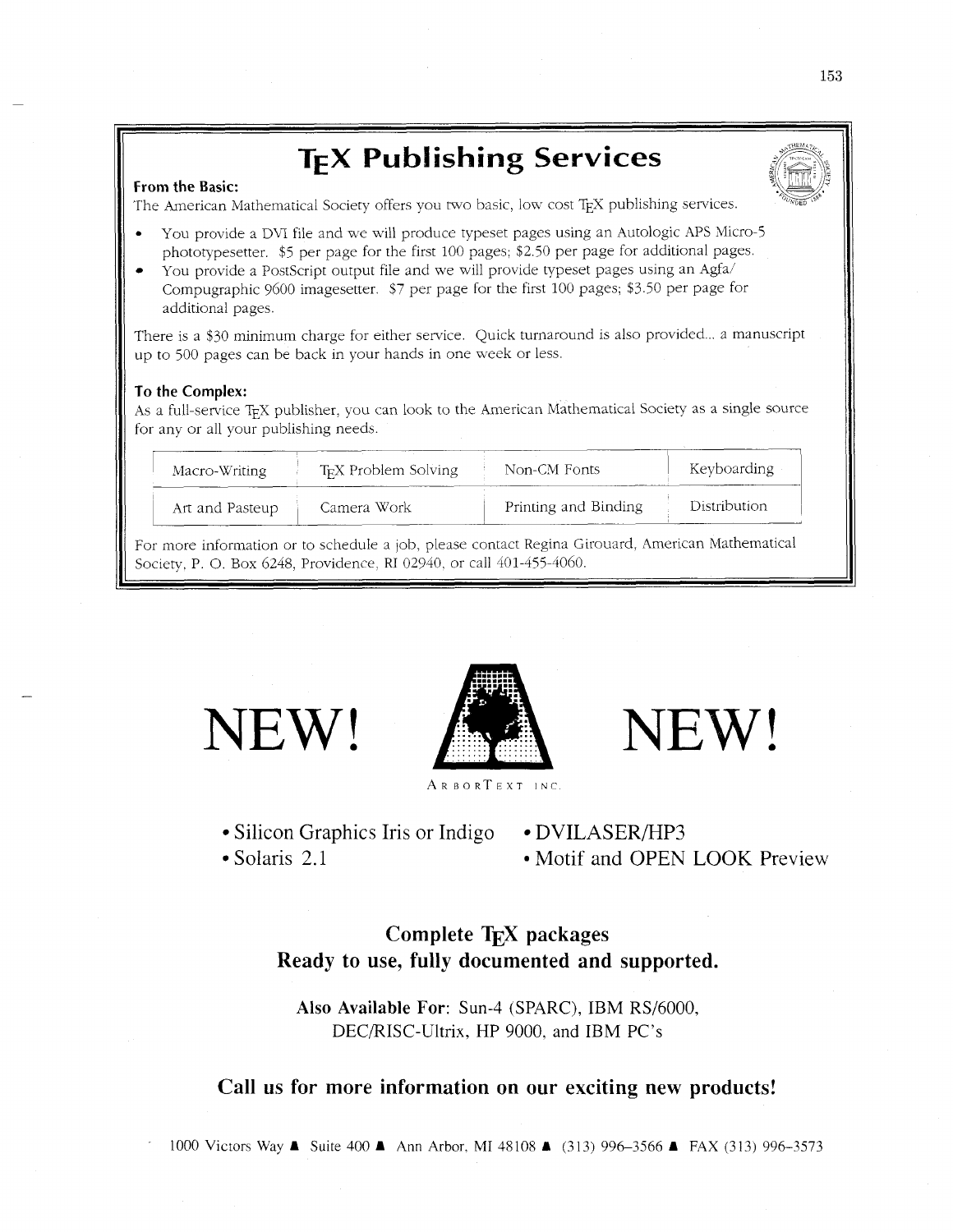# **TEX Publishing Services**

#### **From the Basic:**

The American Mathematical Society offers you two basic, low cost TFX publishing services.

- You provide a DVI file and we will produce typeset pages using an Autologic APS Micro-5 phototypesetter. \$5 per page for the first 100 pages; \$2.50 per page for additional pages.
- You provide a PostScript output file and we will provide typeset pages using an Agfa/ Compugraphic 9600 imagesetter. \$7 per page for the first 100 pages; \$3.50 per page for additional pages.

There is a \$30 minimum charge for either service. Quick turnaround is also provided ... a manuscript up to 500 pages can be back in your hands in one week or less.

#### **To the Complex:**

As a full-service TEX publisher, you can look to the American Mathematical Society as a single source for any or all your publishing needs

| Macro-Writing   | T <sub>EX</sub> Problem Solving | Non-CM Fonts         | Keyboarding  |
|-----------------|---------------------------------|----------------------|--------------|
| Art and Pasteup | Camera Work                     | Printing and Binding | Distribution |

For more information or to schedule a job, please contact Regina Girouard, American Mathematical Society, P. O. Box 6248, Providence, RI 02940, or call 401-455-4060.

NEW!



NEW!

ARBORTEXT INC

- Silicon Graphics Iris or Indigo DVILASER/HP3
- 

• Solaris 2.1 Motif and OPEN LOOK Preview

# **Complete TEX packages Ready to use, fully documented and supported.**

**Also Available For:** Sun-4 (SPARC), IBM RS/6000, DECRISC-Ultrix, HP 9000, and IBM PC's

# **Call us for more information on our exciting new products!**

1000 Victors Way A Suite 400 A Ann Arbor, MI 48108 **A** (313) 996-3566 A FAX (313) 996-3573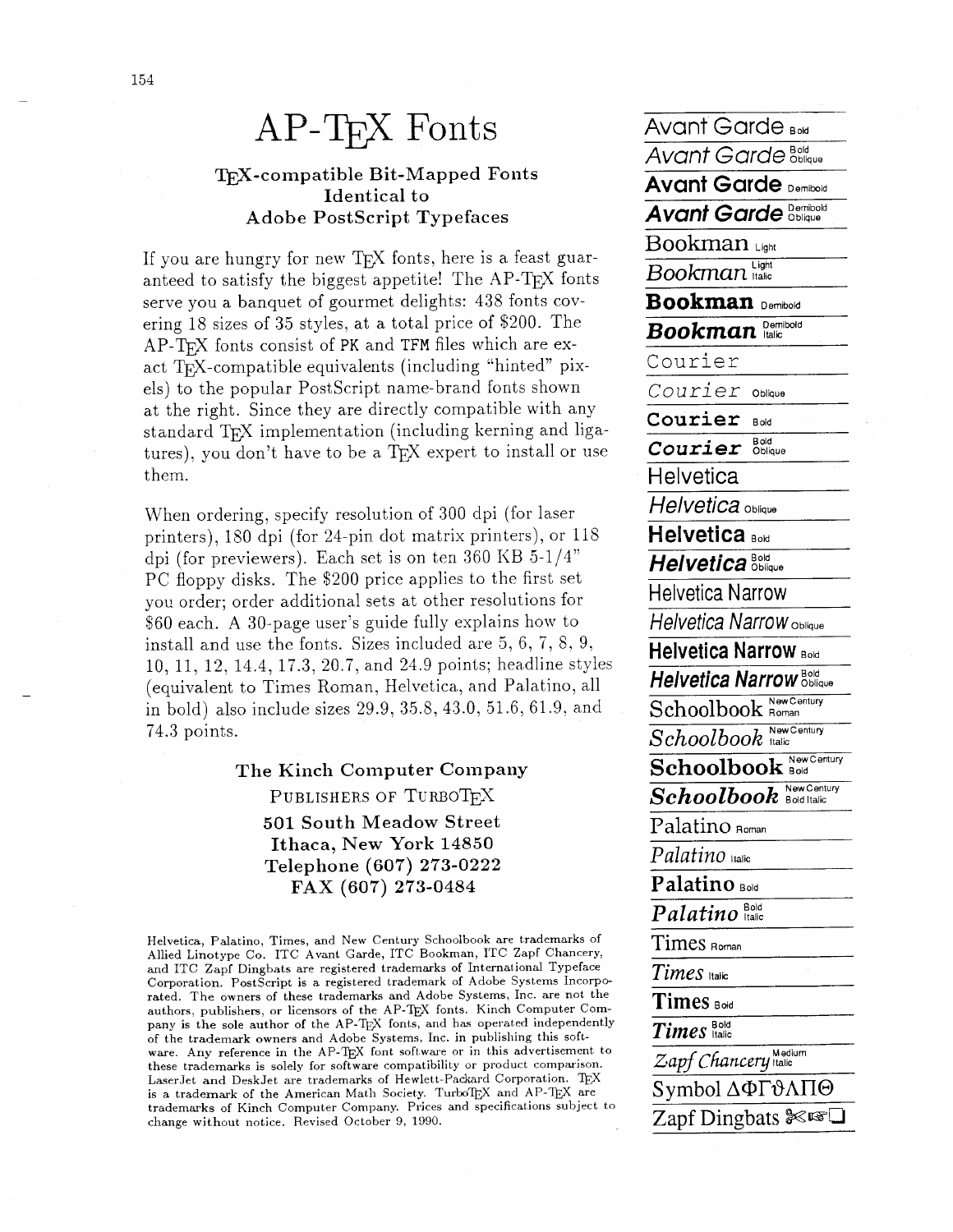# $AP-TrX$   $Fonts$   $\overline{AvarGarde_{Bod}}$

# **w-compatible Bit-Mapped Fonts Identical to Adobe Postscript Typefaces**

If you are hungry for new T<sub>EX</sub> fonts, here is a feast guar-<br> anteed to satisfy the biggest appetite! The AP-T<sub>F</sub>X fonts serve you a banquet of gourmet delights: 438 fonts covering 18 sizes of 35 styles, at a total price of \$200. The AP-TFX fonts consist of PK and TFM files which are exact TFX-compatible equivalents (including "hinted" pixels) to the popular PostScript name-brand fonts shown at the right. Since they are directly compatible with any standard TFX implementation (including kerning and ligatures), you don't have to be a T<sub>F</sub>X expert to install or use them.

When ordering, specify resolution of 300 dpi (for laser **Helvetica** oblique printers), 180 dpi (for 24-pin dot matrix printers), or 118 dpi (for previewers). Each set is on ten 360 KB  $5-1/4"$ PC floppy disks. The \$200 price applies to the first set you order; order additional sets at other resolutions for \$60 each. A 30-page user's guide fully explains how to install and use the fonts. Sizes included are 5, 6, 7, 8. 9, 10, 11, 12, 14.4, 17.3, 20.7, and 24.9 points; headline styles (equivalent to Times Roman, Helvetica, and Palatino, all in bold) also include sizes 29.9, 35.8, 43.0, 51.6, 61.9, and 74.3 points.

> $The Kinch Computer Company$ **PUBLISHERS OF TURBOTEX 501 South Meadow Street Ithaca, New York 14850 Telephone (607) 273-0222 FAX (607) 273-0484**

Helvetica, Palatino, Times, and New Century Schoolbook are trademarks of Allied Linotype Co. ITC Avant Garde, ITC Bookman, ITC Zapf Chancery, and ITC Zapf Dingbats are registered trademarks of International Typeface Corporation. PostScript is a registered trademark of Adobe Systems Incorporated. The owners of these trademarks and Adobe Systems, Inc. are not the authors, publishers, or licensors of the AP-TEX fonts. Kinch Computer Company is the sole author of the AP-TEX fonts, and has operated independently of the trademark owners and Adobe Systems, Inc. in publishing this software. Any reference in the AP-TEX font software or in this advertisement to these trademarks is solely for software compatibility or product comparison. LaserJet and DeskJet are trademarks of Hewlett-Packard Corporation. TEX is a trademark of the American Math Society. TurboTEX and  $AP-TEX$  are trademarks of Kinch Computer Company. Prices and specifications subject to change without notice. Revised October 9, 1990.

**Avant** Garde **E"bue Avant Garde Demituid Avant Garde Demibold** *Bookman* Light **B ookman Dembold Demibold BOO** *kman* **llalic**  Courier *Courier* **Oblhue**  Courier **BOM**   $Courier$  **Bold Helvetica Helvetica Bold**   $Helvetica<sup>80Id</sup>$ Helvetica Narrow **Helvetica** Narrow **Oblique Helvetica Narrow Boid**   $He**lvetica Narrow** <sup>Bold</sup>$ Schoolbook **RowCentury**  $Schoolbook$ <sup>New Century</sup><br>**Schoolbook Bold**  $\boldsymbol{Schoolbook}$  and Italic  $\boldsymbol{Schoolbook}$ Palatino **Roman**  Palatino italic **Palatino Bold**  $\overline{Palatino}^{\text{Bold}}$ Times **Roman**   $TimeS$   $Hailic$  $TimeS$  **Boid** *Times*  **Medium** *Zapf Chance* **y ltallc**  Symbol **A@I%AlI@**  Zapf Dingbats  $\mathscr{F}$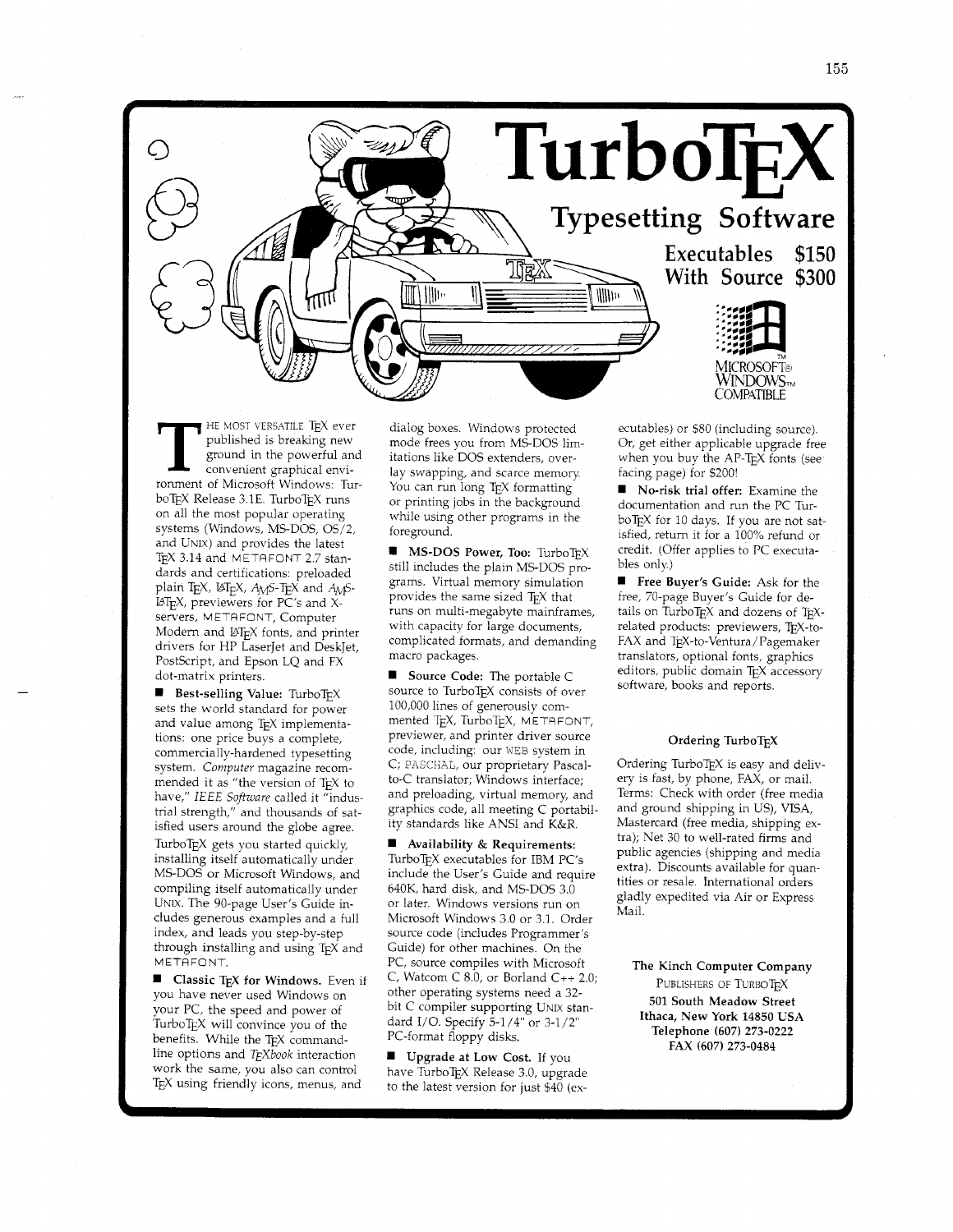

HE MOST VERSATILE TEX ever published is breaking new ground in the powerful and convenient graphical environment of Microsoft Windows: Tur boTEX Release 3.1E. TurboTEX runs on all the most popular operating systems (Windows, MS-DOS, 0S/2, and UNIX) and provides the latest TEX 3.14 and METAFONT 2.7 standards and certifications: preloaded<br>plain TEX, IAT<sub>E</sub>X, A<sub>M</sub>S-TEX and A<sub>M</sub>S- $\text{LAT}_{\text{F}}X$ , previewers for PC's and Xservers, METAFONT, Computer Modern and LAT<sub>E</sub>X fonts, and printer drivers for HP LaserJet and DeskJet, PostScript, and Epson LQ and FX dot-matrix printers.

**Best-selling Value:** TurboTEX sets the world standard for power and value among TEX implementations: one price buys a complete, commercially-hardened typesetting system. *Computer* magazine recommended it as "the version of TEX to have," IEEE *Software* called it "industrial strength," and thousands of satisfied users around the globe agree. TurboTEX gets you started quickly, installing itself automatically under MS-DOS or Microsoft Windows, and compiling itself automatically under UNIX. The 90-page User's Guide includes generous examples and a full index, and leads you step-by-step through installing and using TEX and METAFONT.

**1** Classic **TEX** for Windows. Even if you have never used Windows on your PC, the speed and power of TurboT<sub>F</sub>X will convince you of the benefits. While the TEX commandline options and *T<sub>E</sub>Xbook* interaction work the same, you also can control  $T<sub>E</sub>X$  using friendly icons, menus, and

dialog boxes. Windows protected mode frees you from MS-DOS limitations like DOS extenders, overlay swapping, and scarce memory You can run long TEX formatting or printing jobs in the background while using other programs in the foreground.

**MS-DOS Power, Too: TurboTEX** still includes the plain MS-DOS programs. Virtual memory simulation provides the same sized T<sub>E</sub>X that runs on multi-megabyte mainframes, with capacity for large documents, complicated formats, and demanding macro packages.

**1** Source Code: The portable C source to TurboTEX consists of over 100,000 lines of generously commented TEX, TurboTEX, METRFONT, previewer, and printer driver source code, including: our WEB system in C; PASCHAL, our proprietary Pascalto-C translator; Windows interface; and preloading, virtual memory, and graphics code, all meeting C portability standards like ANSI and K&R.

**1** Availability & Requirements: TurboTEX executables for IBM PC's include the User's Guide and require 640K, hard disk, and MS-DOS 3.0 or later. Windows versions run on Microsoft Windows 3.0 or 3.1. Order source code (includes Programmer's Guide) for other machines. On the PC, source compiles with Microsoft C, Watcom C 8.0, or Borland C++ 2.0; other operating systems need a 32 bit C compiler supporting UNIX standard I/O. Specify 5-1/4" or 3-1/2" PC-format floppy disks.

**1** Upgrade at Low Cost. If you have TurboTEX Release 3.0, upgrade to the latest version for just \$40 (executables) or \$80 (including source). Or, get either applicable upgrade free when you buy the AP-TEX fonts (see facing page) for \$200!

**1** No-risk trial offer: Examine the documentation and run the PC Tur boTEX for 10 days. If you are not satisfied, retum it for a 100% refund or credit. (Offer applies to PC executables only.)

**Free Buyer's Guide:** Ask for the free, 70-page Buyer's Guide for details on Turbo $T_FX$  and dozens of  $T_FX$ related products: previewers, TEX-to-FAX and TEX-to-Ventura/Pagemaker translators, optional fonts, graphics editors, public domain TEX accessory software, books and reports.

#### Ordering TurboTFX

Ordering TurboT $EX$  is easy and delivery is fast, by phone, FAX, or mail. Terms: Check with order (free media and ground shipping in US), VISA, Mastercard (free media, shipping extra); Net 30 to well-rated firms and public agencies (shipping and media extra). Discounts available for quantities or resale. International orders gladly expedited via Air or Express Mail.

The Kinch Computer Company PUBLISHERS OF TURBOTEX **501** South Meadow Street Ithaca, New York **14850** USA Telephone **(607) 273-0222**  FAX **(607) 273-0484**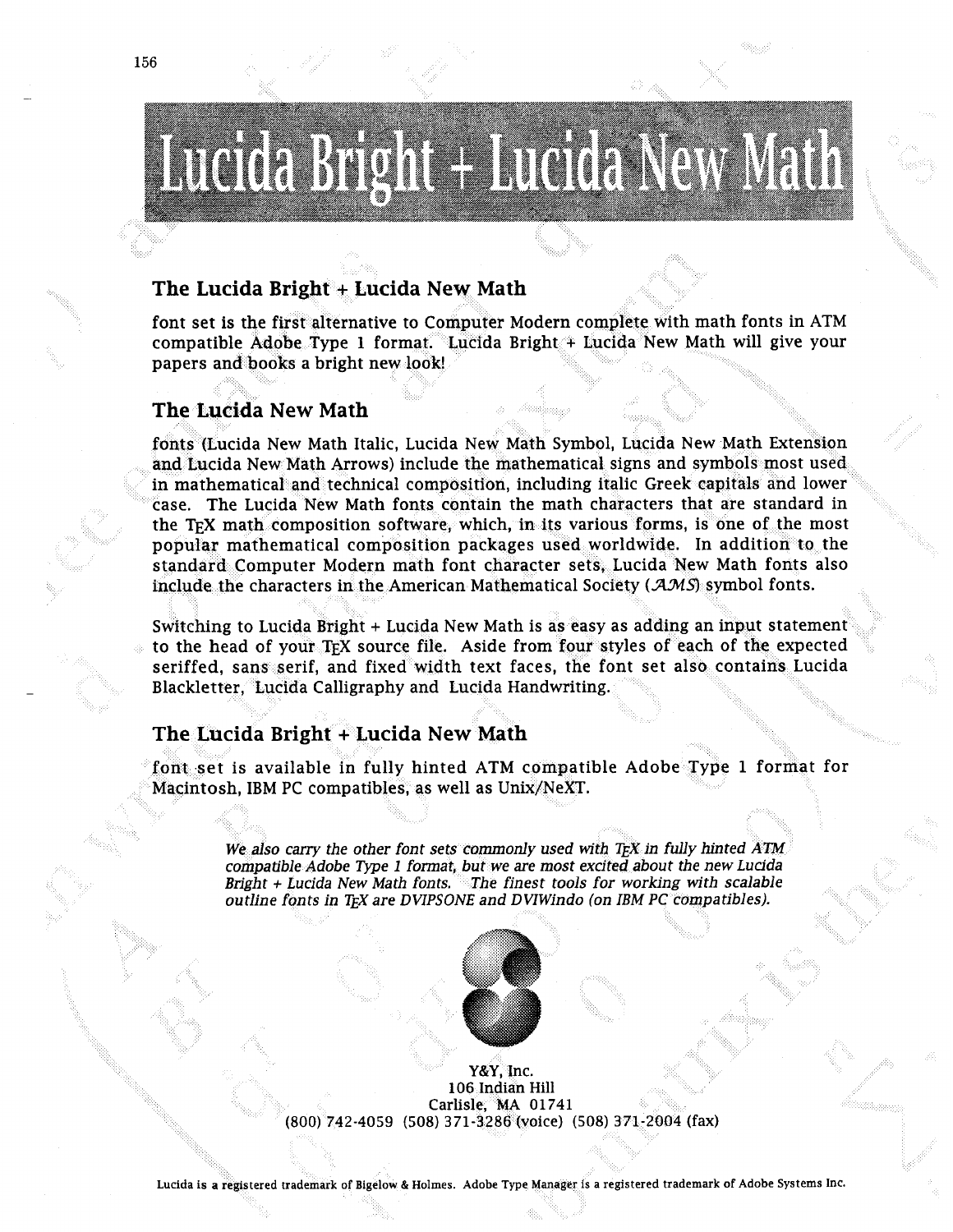# 

# **The Lucida Bright + Lucida New Math**

font set is the first alternative to Computer Modern complete with math fonts in ATM compatible Adobe Type **1** format. Lucida Brigh papers and books a bright new look!

# **The Lucida New Math**

fonts (Lucida New Math Italic, Lucida New Math Symbol, Lucida New Math Ext and Lucida New Math Arrows) include the mathematical signs and symbols most u in mathematical and technical composition, including italic Greek capitals and lowe case. The Lucida New Math fonts contain the math characters that are standard in the T<sub>F</sub>X math composition software, which, in its various forms, is one of the most popular mathematical composition packages used worldwide. In addition to the standard Computer Modern math font character sets, Lucida New Math fonts also include the characters in the American Mathematical Society ( $\mathcal{A}\mathcal{M}\mathcal{S}$ ) symbol fonts.

Switching to Lucida Bright + Lucida New Math is as easy as adding an input statement to the head of your T<sub>F</sub>X source file. Aside from four styles of each of the expected seriffed, sans serif, and fixed width text faces, the font set also contains Lucida Blackletter, Lucida Calligraphy and Lucida Handwriting.

# **The Lucida Bright + Lucida New Math**

font set is available in fully hinted ATM compatible Adobe Type 1 format for Macintosh, IBM PC compatibles, as well as Unix/NeXT.

> We also carry the other font sets commonly used with TEX in fully hinted ATM compatible Adobe Type 1 format, but we are most excited about the new Lucida<br>Bright + Lucida New Math fonts. The finest tools for working with scalable *coutline fonts in TEX are DVIPSONE and DVIWindo (on IBM PC compatibles).*



Y&Y, Inc. **106 Indian Hill Carlisle, MA 01741 00) 742-4059 (508) 371-3.286 (voice) (508)**